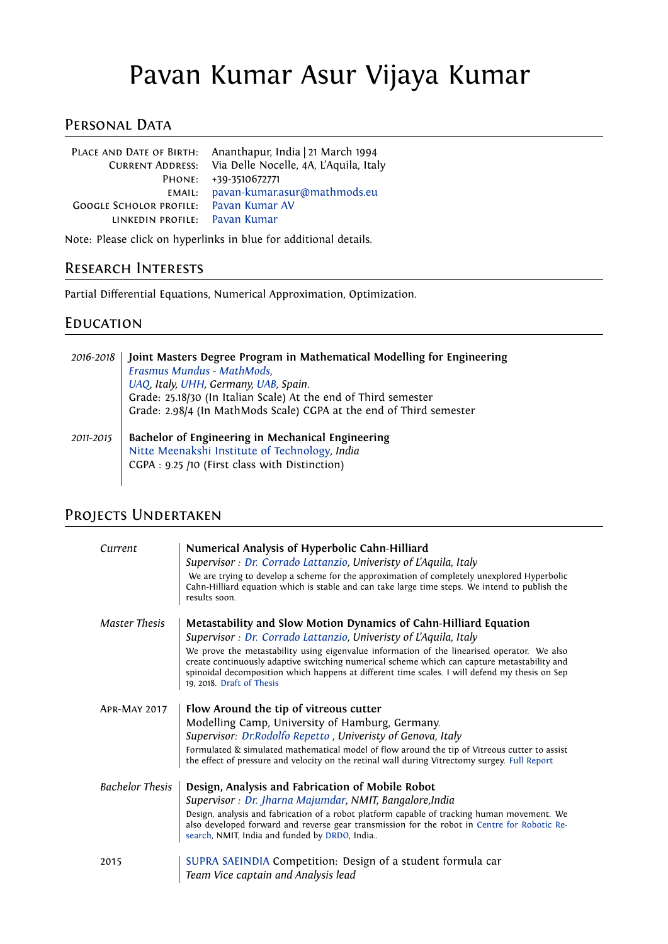# Pavan Kumar Asur Vijaya Kumar

# PERSONAL DATA

|                                               | PLACE AND DATE OF BIRTH: Ananthapur, India   21 March 1994<br>CURRENT ADDRESS: Via Delle Nocelle, 4A, L'Aquila, Italy |
|-----------------------------------------------|-----------------------------------------------------------------------------------------------------------------------|
|                                               | PHONE: +39-3510672771                                                                                                 |
| EMAIL:                                        | pavan-kumar.asur@mathmods.eu                                                                                          |
| <b>GOOGLE SCHOLOR PROFILE:</b> Pavan Kumar AV |                                                                                                                       |
| LINKEDIN PROFILE: Pavan Kumar                 |                                                                                                                       |
|                                               |                                                                                                                       |

Note: Please click on hyperlinks in blue for additional details.

# Research Interests

Partial Differential Equations, Numerical Approximation, Optimization.

#### **EDUCATION**

| 2016-2018 | Joint Masters Degree Program in Mathematical Modelling for Engineering<br>Erasmus Mundus - MathMods,<br>UAQ, Italy, UHH, Germany, UAB, Spain.<br>Grade: 25.18/30 (In Italian Scale) At the end of Third semester<br>Grade: 2.98/4 (In MathMods Scale) CGPA at the end of Third semester |
|-----------|-----------------------------------------------------------------------------------------------------------------------------------------------------------------------------------------------------------------------------------------------------------------------------------------|
| 2011-2015 | Bachelor of Engineering in Mechanical Engineering<br>Nitte Meenakshi Institute of Technology, India<br>CGPA: 9.25 /10 (First class with Distinction)                                                                                                                                    |

# Projects Undertaken

| Current                | Numerical Analysis of Hyperbolic Cahn-Hilliard<br>Supervisor : Dr. Corrado Lattanzio, Univeristy of L'Aquila, Italy<br>We are trying to develop a scheme for the approximation of completely unexplored Hyperbolic<br>Cahn-Hilliard equation which is stable and can take large time steps. We intend to publish the<br>results soon.                                                                                                                              |
|------------------------|--------------------------------------------------------------------------------------------------------------------------------------------------------------------------------------------------------------------------------------------------------------------------------------------------------------------------------------------------------------------------------------------------------------------------------------------------------------------|
| <b>Master Thesis</b>   | Metastability and Slow Motion Dynamics of Cahn-Hilliard Equation<br>Supervisor : Dr. Corrado Lattanzio, Univeristy of L'Aquila, Italy<br>We prove the metastability using eigenvalue information of the linearised operator. We also<br>create continuously adaptive switching numerical scheme which can capture metastability and<br>spinoidal decomposition which happens at different time scales. I will defend my thesis on Sep<br>19, 2018. Draft of Thesis |
| <b>APR-MAY 2017</b>    | Flow Around the tip of vitreous cutter<br>Modelling Camp, University of Hamburg, Germany.<br>Supervisor: Dr.Rodolfo Repetto, Univeristy of Genova, Italy<br>Formulated & simulated mathematical model of flow around the tip of Vitreous cutter to assist<br>the effect of pressure and velocity on the retinal wall during Vitrectomy surgey. Full Report                                                                                                         |
| <b>Bachelor Thesis</b> | Design, Analysis and Fabrication of Mobile Robot<br>Supervisor : Dr. Jharna Majumdar, NMIT, Bangalore, India<br>Design, analysis and fabrication of a robot platform capable of tracking human movement. We<br>also developed forward and reverse gear transmission for the robot in Centre for Robotic Re-<br>search, NMIT, India and funded by DRDO, India                                                                                                       |
| 2015                   | SUPRA SAEINDIA Competition: Design of a student formula car<br>Team Vice captain and Analysis lead                                                                                                                                                                                                                                                                                                                                                                 |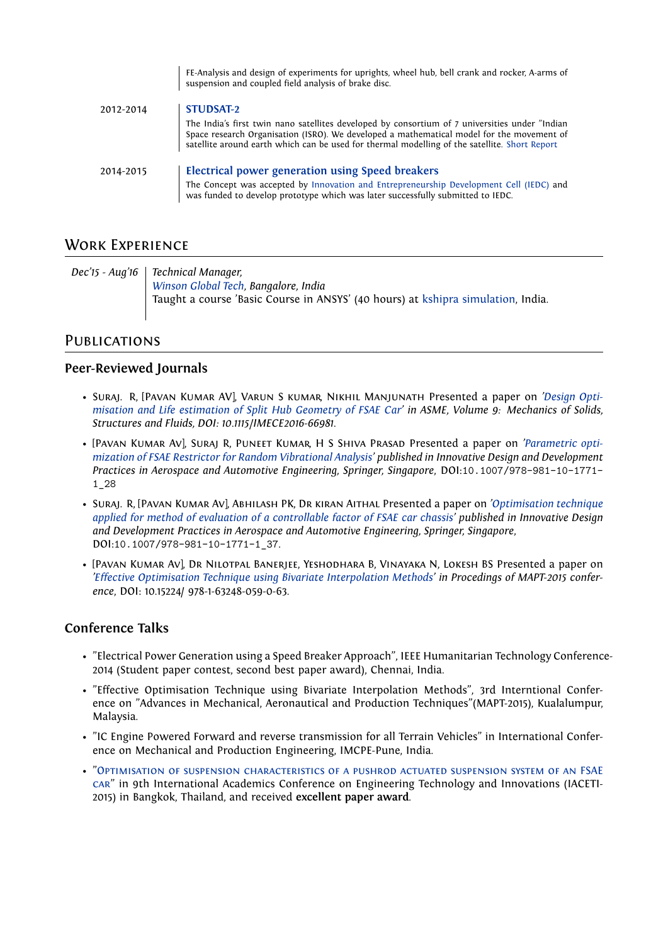|           | suspension and coupled field analysis of brake disc.                                                                                                                                                                                                                                         |  |
|-----------|----------------------------------------------------------------------------------------------------------------------------------------------------------------------------------------------------------------------------------------------------------------------------------------------|--|
| 2012-2014 | <b>STUDSAT-2</b>                                                                                                                                                                                                                                                                             |  |
|           | The India's first twin nano satellites developed by consortium of 7 universities under "Indian<br>Space research Organisation (ISRO). We developed a mathematical model for the movement of<br>satellite around earth which can be used for thermal modelling of the satellite. Short Report |  |
| 2014-2015 | Electrical power generation using Speed breakers                                                                                                                                                                                                                                             |  |
|           | The Concept was accepted by Innovation and Entrepreneurship Development Cell (IEDC) and<br>was funded to develop prototype which was later successfully submitted to IEDC.                                                                                                                   |  |

FE-Analysis and design of experiments for uprights, wheel hub, bell crank and rocker, A-arms of

### Work Experience

*Dec'15 - Aug'16 Technical Manager, [Winson Global Tech,](http://winsunglobaltech.com/) Bangalore, India* Taught a course 'Basic Course in ANSYS' (40 hours) at [kshipra simulation,](http://kshiprasimulations.com/basic-course/) India.

#### **PUBLICATIONS**

#### **Peer-Reviewed Journals**

- Suraj. R, [Pavan Kumar AV], Varun S kumar, Nikhil Manjunath Presented a paper on *['Design Opti](http://proceedings.asmedigitalcollection.asme.org/proceeding.aspx?articleid=2602655)[misation and Life estimation of Split Hub Geometry of FSAE Car'](http://proceedings.asmedigitalcollection.asme.org/proceeding.aspx?articleid=2602655) in ASME, Volume 9: Mechanics of Solids, Structures and Fluids, DOI: 10.1115/IMECE2016-66981.*
- [Pavan Kumar Av], Suraj R, Puneet Kumar, H S Shiva Prasad Presented a paper on *['Parametric opti](https://www.springerprofessional.de/parametric-optimization-of-fsae-restrictor-for-random-vibrationa/10711604)[mization of FSAE Restrictor for Random Vibrational Analysis'](https://www.springerprofessional.de/parametric-optimization-of-fsae-restrictor-for-random-vibrationa/10711604) published in Innovative Design and Development Practices in Aerospace and Automotive Engineering, Springer, Singapore*, DOI:10.1007/978-981-10-1771- 1\_28
- Suraj. R, [Pavan Kumar Av], Abhilash PK, Dr kiran Aithal Presented a paper on *['Optimisation technique](https://link.springer.com/chapter/10.1007/978-981-10-1771-1_37) [applied for method of evaluation of a controllable factor of FSAE car chassis'](https://link.springer.com/chapter/10.1007/978-981-10-1771-1_37) published in Innovative Design and Development Practices in Aerospace and Automotive Engineering, Springer, Singapore*, DOI:10.1007/978-981-10-1771-1\_37.
- [Pavan Kumar Av], Dr Nilotpal Banerjee, Yeshodhara B, Vinayaka N, Lokesh BS Presented a paper on *['Effective Optimisation Technique using Bivariate Interpolation Methods'](https://seekdl.org/conferences/paper/details/Effective-Optimisation-Technique-Using-Bivariate-Interpolation-Methods) in Procedings of MAPT-2015 conference*, DOI: 10.15224/ 978-1-63248-059-0-63.

#### **Conference Talks**

- "Electrical Power Generation using a Speed Breaker Approach", IEEE Humanitarian Technology Conference-2014 (Student paper contest, second best paper award), Chennai, India.
- "Effective Optimisation Technique using Bivariate Interpolation Methods", 3rd Interntional Conference on "Advances in Mechanical, Aeronautical and Production Techniques"(MAPT-2015), Kualalumpur, Malaysia.
- "IC Engine Powered Forward and reverse transmission for all Terrain Vehicles" in International Conference on Mechanical and Production Engineering, IMCPE-Pune, India.
- ["Optimisation of suspension characteristics of a pushrod actuated suspension system of an FSAE](http://ijmas.iraj.in/paper_detail.php?paper_id=3900&name=Optimization_Of_Suspension_Characteristic_Of_A_Pushrod_Actuated_Suspension_System_Of_An_FSAE_Car) [car"](http://ijmas.iraj.in/paper_detail.php?paper_id=3900&name=Optimization_Of_Suspension_Characteristic_Of_A_Pushrod_Actuated_Suspension_System_Of_An_FSAE_Car) in 9th International Academics Conference on Engineering Technology and Innovations (IACETI-2015) in Bangkok, Thailand, and received **excellent paper award**.